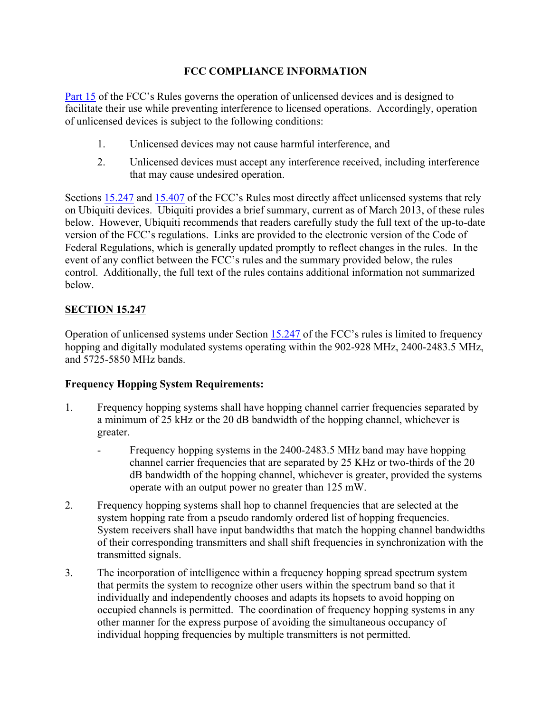### **FCC COMPLIANCE INFORMATION**

Part 15 of the FCC's Rules governs the operation of unlicensed devices and is designed to facilitate their use while preventing interference to licensed operations. Accordingly, operation of unlicensed devices is subject to the following conditions:

- 1. Unlicensed devices may not cause harmful interference, and
- 2. Unlicensed devices must accept any interference received, including interference that may cause undesired operation.

Sections 15.247 and 15.407 of the FCC's Rules most directly affect unlicensed systems that rely on Ubiquiti devices. Ubiquiti provides a brief summary, current as of March 2013, of these rules below. However, Ubiquiti recommends that readers carefully study the full text of the up-to-date version of the FCC's regulations. Links are provided to the electronic version of the Code of Federal Regulations, which is generally updated promptly to reflect changes in the rules. In the event of any conflict between the FCC's rules and the summary provided below, the rules control. Additionally, the full text of the rules contains additional information not summarized below.

# **SECTION 15.247**

Operation of unlicensed systems under Section 15.247 of the FCC's rules is limited to frequency hopping and digitally modulated systems operating within the 902-928 MHz, 2400-2483.5 MHz, and 5725-5850 MHz bands.

# **Frequency Hopping System Requirements:**

- 1. Frequency hopping systems shall have hopping channel carrier frequencies separated by a minimum of 25 kHz or the 20 dB bandwidth of the hopping channel, whichever is greater.
	- Frequency hopping systems in the 2400-2483.5 MHz band may have hopping channel carrier frequencies that are separated by 25 KHz or two-thirds of the 20 dB bandwidth of the hopping channel, whichever is greater, provided the systems operate with an output power no greater than 125 mW.
- 2. Frequency hopping systems shall hop to channel frequencies that are selected at the system hopping rate from a pseudo randomly ordered list of hopping frequencies. System receivers shall have input bandwidths that match the hopping channel bandwidths of their corresponding transmitters and shall shift frequencies in synchronization with the transmitted signals.
- 3. The incorporation of intelligence within a frequency hopping spread spectrum system that permits the system to recognize other users within the spectrum band so that it individually and independently chooses and adapts its hopsets to avoid hopping on occupied channels is permitted. The coordination of frequency hopping systems in any other manner for the express purpose of avoiding the simultaneous occupancy of individual hopping frequencies by multiple transmitters is not permitted.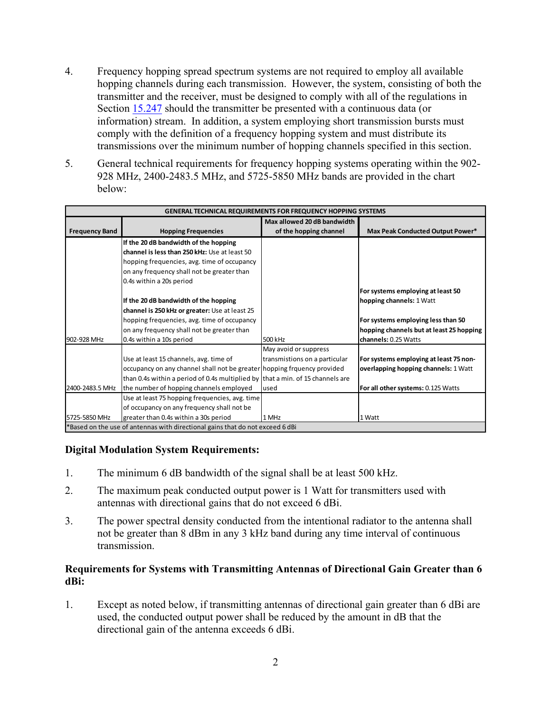- 4. Frequency hopping spread spectrum systems are not required to employ all available hopping channels during each transmission. However, the system, consisting of both the transmitter and the receiver, must be designed to comply with all of the regulations in Section 15.247 should the transmitter be presented with a continuous data (or information) stream. In addition, a system employing short transmission bursts must comply with the definition of a frequency hopping system and must distribute its transmissions over the minimum number of hopping channels specified in this section.
- 5. General technical requirements for frequency hopping systems operating within the 902- 928 MHz, 2400-2483.5 MHz, and 5725-5850 MHz bands are provided in the chart below:

| <b>GENERAL TECHNICAL REQUIREMENTS FOR FREQUENCY HOPPING SYSTEMS</b>           |                                                                                |                               |                                          |  |
|-------------------------------------------------------------------------------|--------------------------------------------------------------------------------|-------------------------------|------------------------------------------|--|
|                                                                               |                                                                                | Max allowed 20 dB bandwidth   |                                          |  |
| <b>Frequency Band</b>                                                         | <b>Hopping Frequencies</b>                                                     | of the hopping channel        | Max Peak Conducted Output Power*         |  |
|                                                                               | If the 20 dB bandwidth of the hopping                                          |                               |                                          |  |
|                                                                               | channel is less than 250 kHz: Use at least 50                                  |                               |                                          |  |
|                                                                               | hopping frequencies, avg. time of occupancy                                    |                               |                                          |  |
|                                                                               | on any frequency shall not be greater than                                     |                               |                                          |  |
|                                                                               | 0.4s within a 20s period                                                       |                               |                                          |  |
|                                                                               |                                                                                |                               | For systems employing at least 50        |  |
|                                                                               | If the 20 dB bandwidth of the hopping                                          |                               | hopping channels: 1 Watt                 |  |
|                                                                               | channel is 250 kHz or greater: Use at least 25                                 |                               |                                          |  |
|                                                                               | hopping frequencies, avg. time of occupancy                                    |                               | For systems employing less than 50       |  |
|                                                                               | on any frequency shall not be greater than                                     |                               | hopping channels but at least 25 hopping |  |
| 902-928 MHz                                                                   | 0.4s within a 10s period                                                       | 500 kHz                       | channels: 0.25 Watts                     |  |
|                                                                               |                                                                                | May avoid or suppress         |                                          |  |
|                                                                               | Use at least 15 channels, avg. time of                                         | transmistions on a particular | For systems employing at least 75 non-   |  |
|                                                                               | occupancy on any channel shall not be greater hopping frquency provided        |                               | overlapping hopping channels: 1 Watt     |  |
|                                                                               | than 0.4s within a period of 0.4s multiplied by that a min. of 15 channels are |                               |                                          |  |
| 2400-2483.5 MHz                                                               | the number of hopping channels employed                                        | used                          | For all other systems: 0.125 Watts       |  |
|                                                                               | Use at least 75 hopping frequencies, avg. time                                 |                               |                                          |  |
|                                                                               | of occupancy on any frequency shall not be                                     |                               |                                          |  |
| 5725-5850 MHz                                                                 | greater than 0.4s within a 30s period                                          | 1 MHz                         | 1 Watt                                   |  |
| *Based on the use of antennas with directional gains that do not exceed 6 dBi |                                                                                |                               |                                          |  |

### **Digital Modulation System Requirements:**

- 1. The minimum 6 dB bandwidth of the signal shall be at least 500 kHz.
- 2. The maximum peak conducted output power is 1 Watt for transmitters used with antennas with directional gains that do not exceed 6 dBi.
- 3. The power spectral density conducted from the intentional radiator to the antenna shall not be greater than 8 dBm in any 3 kHz band during any time interval of continuous transmission.

#### **Requirements for Systems with Transmitting Antennas of Directional Gain Greater than 6 dBi:**

1. Except as noted below, if transmitting antennas of directional gain greater than 6 dBi are used, the conducted output power shall be reduced by the amount in dB that the directional gain of the antenna exceeds 6 dBi.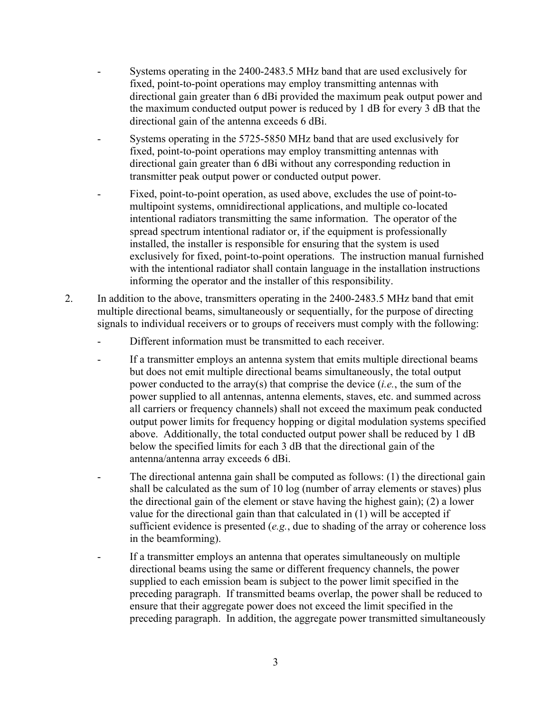- Systems operating in the 2400-2483.5 MHz band that are used exclusively for fixed, point-to-point operations may employ transmitting antennas with directional gain greater than 6 dBi provided the maximum peak output power and the maximum conducted output power is reduced by 1 dB for every 3 dB that the directional gain of the antenna exceeds 6 dBi.
- Systems operating in the 5725-5850 MHz band that are used exclusively for fixed, point-to-point operations may employ transmitting antennas with directional gain greater than 6 dBi without any corresponding reduction in transmitter peak output power or conducted output power.
- Fixed, point-to-point operation, as used above, excludes the use of point-tomultipoint systems, omnidirectional applications, and multiple co-located intentional radiators transmitting the same information. The operator of the spread spectrum intentional radiator or, if the equipment is professionally installed, the installer is responsible for ensuring that the system is used exclusively for fixed, point-to-point operations. The instruction manual furnished with the intentional radiator shall contain language in the installation instructions informing the operator and the installer of this responsibility.
- 2. In addition to the above, transmitters operating in the 2400-2483.5 MHz band that emit multiple directional beams, simultaneously or sequentially, for the purpose of directing signals to individual receivers or to groups of receivers must comply with the following:
	- Different information must be transmitted to each receiver.
	- If a transmitter employs an antenna system that emits multiple directional beams but does not emit multiple directional beams simultaneously, the total output power conducted to the array(s) that comprise the device (*i.e.*, the sum of the power supplied to all antennas, antenna elements, staves, etc. and summed across all carriers or frequency channels) shall not exceed the maximum peak conducted output power limits for frequency hopping or digital modulation systems specified above. Additionally, the total conducted output power shall be reduced by 1 dB below the specified limits for each 3 dB that the directional gain of the antenna/antenna array exceeds 6 dBi.
	- The directional antenna gain shall be computed as follows: (1) the directional gain shall be calculated as the sum of 10 log (number of array elements or staves) plus the directional gain of the element or stave having the highest gain); (2) a lower value for the directional gain than that calculated in (1) will be accepted if sufficient evidence is presented (*e.g.*, due to shading of the array or coherence loss in the beamforming).
	- If a transmitter employs an antenna that operates simultaneously on multiple directional beams using the same or different frequency channels, the power supplied to each emission beam is subject to the power limit specified in the preceding paragraph. If transmitted beams overlap, the power shall be reduced to ensure that their aggregate power does not exceed the limit specified in the preceding paragraph. In addition, the aggregate power transmitted simultaneously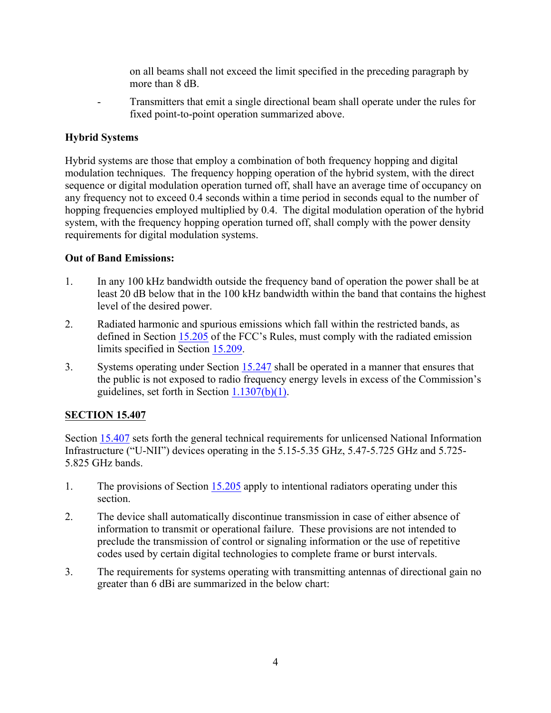on all beams shall not exceed the limit specified in the preceding paragraph by more than 8 dB

- Transmitters that emit a single directional beam shall operate under the rules for fixed point-to-point operation summarized above.

### **Hybrid Systems**

Hybrid systems are those that employ a combination of both frequency hopping and digital modulation techniques. The frequency hopping operation of the hybrid system, with the direct sequence or digital modulation operation turned off, shall have an average time of occupancy on any frequency not to exceed 0.4 seconds within a time period in seconds equal to the number of hopping frequencies employed multiplied by 0.4. The digital modulation operation of the hybrid system, with the frequency hopping operation turned off, shall comply with the power density requirements for digital modulation systems.

### **Out of Band Emissions:**

- 1. In any 100 kHz bandwidth outside the frequency band of operation the power shall be at least 20 dB below that in the 100 kHz bandwidth within the band that contains the highest level of the desired power.
- 2. Radiated harmonic and spurious emissions which fall within the restricted bands, as defined in Section 15.205 of the FCC's Rules, must comply with the radiated emission limits specified in Section 15.209.
- 3. Systems operating under Section 15.247 shall be operated in a manner that ensures that the public is not exposed to radio frequency energy levels in excess of the Commission's guidelines, set forth in Section 1.1307(b)(1).

# **SECTION 15.407**

Section 15.407 sets forth the general technical requirements for unlicensed National Information Infrastructure ("U-NII") devices operating in the 5.15-5.35 GHz, 5.47-5.725 GHz and 5.725- 5.825 GHz bands.

- 1. The provisions of Section 15.205 apply to intentional radiators operating under this section.
- 2. The device shall automatically discontinue transmission in case of either absence of information to transmit or operational failure. These provisions are not intended to preclude the transmission of control or signaling information or the use of repetitive codes used by certain digital technologies to complete frame or burst intervals.
- 3. The requirements for systems operating with transmitting antennas of directional gain no greater than 6 dBi are summarized in the below chart: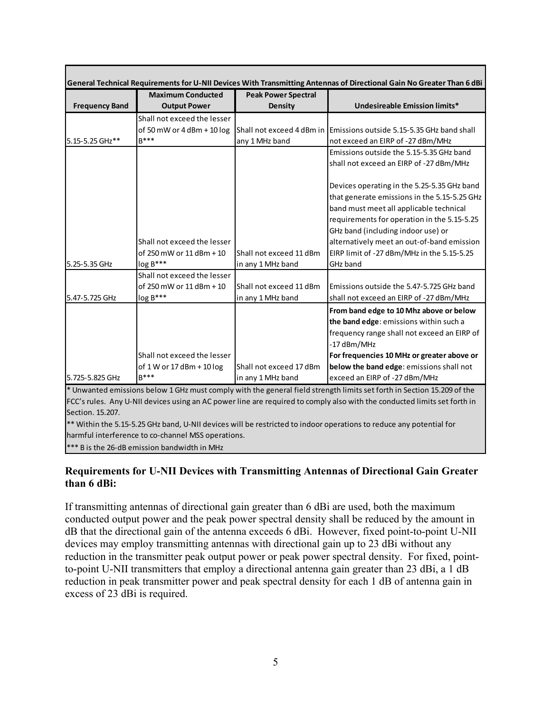|                       | <b>Maximum Conducted</b>     | <b>Peak Power Spectral</b> |                                                                                                                          |
|-----------------------|------------------------------|----------------------------|--------------------------------------------------------------------------------------------------------------------------|
| <b>Frequency Band</b> | <b>Output Power</b>          | <b>Density</b>             | <b>Undesireable Emission limits*</b>                                                                                     |
|                       | Shall not exceed the lesser  |                            |                                                                                                                          |
|                       | of 50 mW or $4$ dBm + 10 log | Shall not exceed 4 dBm in  | Emissions outside 5.15-5.35 GHz band shall                                                                               |
| 5.15-5.25 GHz**       | $B***$                       | any 1 MHz band             | not exceed an EIRP of -27 dBm/MHz                                                                                        |
|                       |                              |                            | Emissions outside the 5.15-5.35 GHz band                                                                                 |
|                       |                              |                            | shall not exceed an EIRP of -27 dBm/MHz                                                                                  |
|                       |                              |                            | Devices operating in the 5.25-5.35 GHz band                                                                              |
|                       |                              |                            | that generate emissions in the 5.15-5.25 GHz                                                                             |
|                       |                              |                            | band must meet all applicable technical                                                                                  |
|                       |                              |                            | requirements for operation in the 5.15-5.25                                                                              |
|                       |                              |                            | GHz band (including indoor use) or                                                                                       |
|                       | Shall not exceed the lesser  |                            | alternatively meet an out-of-band emission                                                                               |
|                       | of 250 mW or 11 dBm + 10     | Shall not exceed 11 dBm    | EIRP limit of -27 dBm/MHz in the 5.15-5.25                                                                               |
| 5.25-5.35 GHz         | $log B***$                   | in any 1 MHz band          | GHz band                                                                                                                 |
|                       | Shall not exceed the lesser  |                            |                                                                                                                          |
|                       | of 250 mW or 11 dBm + 10     | Shall not exceed 11 dBm    | Emissions outside the 5.47-5.725 GHz band                                                                                |
| 5.47-5.725 GHz        | $log B***$                   | in any 1 MHz band          | shall not exceed an EIRP of -27 dBm/MHz                                                                                  |
|                       |                              |                            | From band edge to 10 Mhz above or below                                                                                  |
|                       |                              |                            | the band edge: emissions within such a                                                                                   |
|                       |                              |                            | frequency range shall not exceed an EIRP of                                                                              |
|                       |                              |                            | -17 dBm/MHz                                                                                                              |
|                       | Shall not exceed the lesser  |                            | For frequencies 10 MHz or greater above or                                                                               |
|                       | of 1 W or 17 dBm + 10 log    | Shall not exceed 17 dBm    | below the band edge: emissions shall not                                                                                 |
| 5.725-5.825 GHz       | $B***$                       | in any 1 MHz band          | exceed an EIRP of -27 dBm/MHz                                                                                            |
|                       |                              |                            | * Unwanted emissions below 1 GHz must comply with the general field strength limits set forth in Section 15.209 of the   |
|                       |                              |                            | FCC's rules. Any U-NII devices using an AC power line are required to comply also with the conducted limits set forth in |
| Section. 15.207.      |                              |                            |                                                                                                                          |
|                       |                              |                            | ** Within the 5.15-5.25 GHz band, U-NII devices will be restricted to indoor operations to reduce any potential for      |

harmful interference to co-channel MSS operations.

\*\*\* B is the 26-dB emission bandwidth in MHz

### **Requirements for U-NII Devices with Transmitting Antennas of Directional Gain Greater than 6 dBi:**

If transmitting antennas of directional gain greater than 6 dBi are used, both the maximum conducted output power and the peak power spectral density shall be reduced by the amount in dB that the directional gain of the antenna exceeds 6 dBi. However, fixed point-to-point U-NII devices may employ transmitting antennas with directional gain up to 23 dBi without any reduction in the transmitter peak output power or peak power spectral density. For fixed, pointto-point U-NII transmitters that employ a directional antenna gain greater than 23 dBi, a 1 dB reduction in peak transmitter power and peak spectral density for each 1 dB of antenna gain in excess of 23 dBi is required.